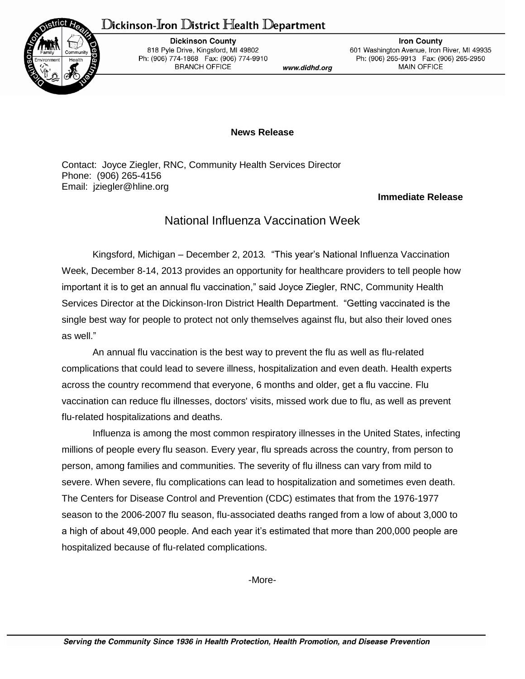## Dickinson-Iron District Health Department



**Dickinson County** 818 Pyle Drive, Kingsford, MI 49802 Ph: (906) 774-1868 Fax: (906) 774-9910 **BRANCH OFFICE** 

www.didhd.org

**Iron County** 601 Washington Avenue, Iron River, MI 49935 Ph: (906) 265-9913 Fax: (906) 265-2950 MAIN OFFICE

## **News Release**

Contact: Joyce Ziegler, RNC, Community Health Services Director Phone: (906) 265-4156 Email: jziegler@hline.org

## **Immediate Release**

## National Influenza Vaccination Week

Kingsford, Michigan – December 2, 2013*.* "This year's National Influenza Vaccination Week, December 8-14, 2013 provides an opportunity for healthcare providers to tell people how important it is to get an annual flu vaccination," said Joyce Ziegler, RNC, Community Health Services Director at the Dickinson-Iron District Health Department. "Getting vaccinated is the single best way for people to protect not only themselves against flu, but also their loved ones as well."

An annual flu vaccination is the best way to prevent the flu as well as flu-related complications that could lead to severe illness, hospitalization and even death. Health experts across the country recommend that everyone, 6 months and older, get a flu vaccine. Flu vaccination can reduce flu illnesses, doctors' visits, missed work due to flu, as well as prevent flu-related hospitalizations and deaths.

Influenza is among the most common respiratory illnesses in the United States, infecting millions of people every flu season. Every year, flu spreads across the country, from person to person, among families and communities. The severity of flu illness can vary from mild to severe. When severe, flu complications can lead to hospitalization and sometimes even death. The Centers for Disease Control and Prevention (CDC) estimates that from the 1976-1977 season to the 2006-2007 flu season, flu-associated deaths ranged from a low of about 3,000 to a high of about 49,000 people. And each year it's estimated that more than 200,000 people are hospitalized because of flu-related complications.

-More-